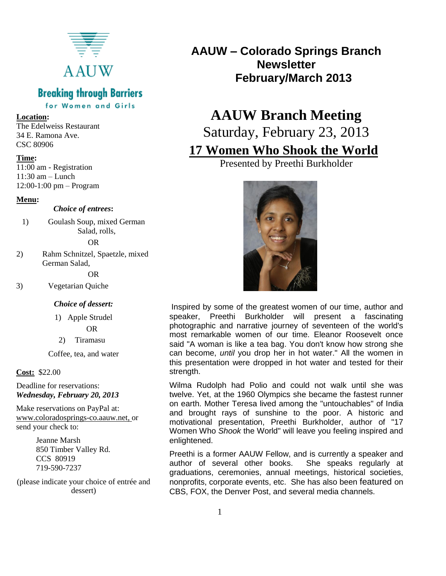

### **Breaking through Barriers**

for Women and Girls

#### **Location:**

The Edelweiss Restaurant 34 E. Ramona Ave. CSC 80906

#### **Time:**

11:00 am - Registration  $11:30$  am – Lunch 12:00-1:00 pm – Program

#### **Menu:**

#### *Choice of entrees***:**

1) Goulash Soup, mixed German Salad, rolls,

#### OR

2) Rahm Schnitzel, Spaetzle, mixed German Salad,

OR

3) Vegetarian Quiche

#### *Choice of dessert:*

1) Apple Strudel OR

2) Tiramasu

Coffee, tea, and water

#### **Cost:** \$22.00

Deadline for reservations: *Wednesday, February 20, 2013*

Make reservations on PayPal at: [www.coloradosprings-co.aauw.net,](http://www.coloradosprings-co.aauw.net/) or send your check to:

> Jeanne Marsh 850 Timber Valley Rd. CCS 80919 719-590-7237

(please indicate your choice of entrée and dessert)

**AAUW – Colorado Springs Branch Newsletter February/March 2013**

# **AAUW Branch Meeting** Saturday, February 23, 2013

## **17 Women Who Shook the World**

Presented by Preethi Burkholder



Inspired by some of the greatest women of our time, author and speaker, Preethi Burkholder will present a fascinating photographic and narrative journey of seventeen of the world's most remarkable women of our time. Eleanor Roosevelt once said "A woman is like a tea bag. You don't know how strong she can become, *until* you drop her in hot water." All the women in this presentation were dropped in hot water and tested for their strength.

Wilma Rudolph had Polio and could not walk until she was twelve. Yet, at the 1960 Olympics she became the fastest runner on earth. Mother Teresa lived among the "untouchables" of India and brought rays of sunshine to the poor. A historic and motivational presentation, Preethi Burkholder, author of "17 Women Who *Shook* the World" will leave you feeling inspired and enlightened.

Preethi is a former AAUW Fellow, and is currently a speaker and author of several other books. She speaks regularly at graduations, ceremonies, annual meetings, historical societies, nonprofits, corporate events, etc. She has also been featured on CBS, FOX, the Denver Post, and several media channels.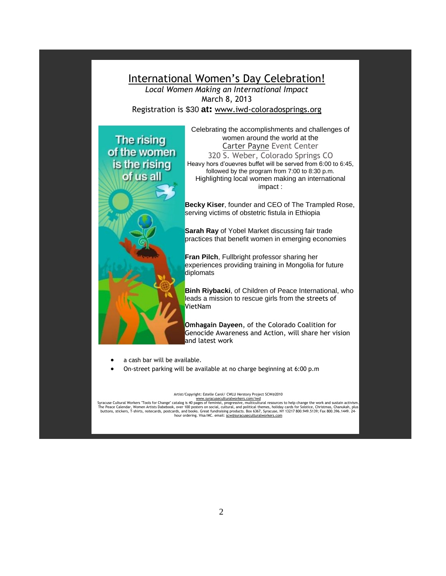

- a cash bar will be available.
- On-street parking will be available at no charge beginning at 6:00 p.m

#### Artist/Copyright: Estelle Carol/ CWLU Herstory Project SCW@2010

[www.syracuseculturalworkers.com/iwd](http://www.syracuseculturalworkers.com/iwd) Syracuse Cultural Workers "Tools for Change" catalog is 40 pages of feminist, progressive, multicultural resources to help change the work and sustain activism. The Peace Calendar, Women Artists Dabebook, over 100 posters on social, cultural, and political themes, holiday cards for Solstice, Christmas, Chanukah, plus buttons, stickers, T-shirts, notecards, postcards, and books. Great fundraising products. Box 6367, Syracuse, NY 13217 800.949.5139; Fax 800.396.1449. 24 hour ordering. Visa/MC. email[: scw@syracuseculturalworkers.com](mailto:scw@syracuseculturalworkers.com)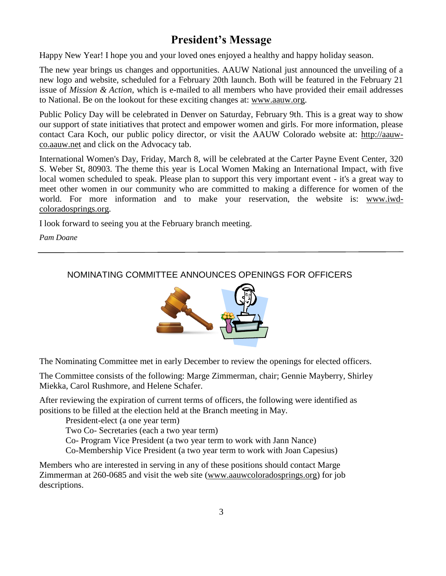### **President's Message**

Happy New Year! I hope you and your loved ones enjoyed a healthy and happy holiday season.

The new year brings us changes and opportunities. AAUW National just announced the unveiling of a new logo and website, scheduled for a February 20th launch. Both will be featured in the February 21 issue of *Mission & Action*, which is e-mailed to all members who have provided their email addresses to National. Be on the lookout for these exciting changes at: [www.aauw.org.](http://www.aauw.org/)

Public Policy Day will be celebrated in Denver on Saturday, February 9th. This is a great way to show our support of state initiatives that protect and empower women and girls. For more information, please contact Cara Koch, our public policy director, or visit the AAUW Colorado website at: [http://aauw](http://aauw-co.aauw.net/)[co.aauw.net](http://aauw-co.aauw.net/) and click on the Advocacy tab.

International Women's Day, Friday, March 8, will be celebrated at the Carter Payne Event Center, 320 S. Weber St, 80903. The theme this year is Local Women Making an International Impact, with five local women scheduled to speak. Please plan to support this very important event - it's a great way to meet other women in our community who are committed to making a difference for women of the world. For more information and to make your reservation, the website is: [www.iwd](http://www.iwd-coloradosprings.org/)[coloradosprings.org.](http://www.iwd-coloradosprings.org/)

I look forward to seeing you at the February branch meeting.

*Pam Doane*

### NOMINATING COMMITTEE ANNOUNCES OPENINGS FOR OFFICERS



The Nominating Committee met in early December to review the openings for elected officers.

The Committee consists of the following: Marge Zimmerman, chair; Gennie Mayberry, Shirley Miekka, Carol Rushmore, and Helene Schafer.

After reviewing the expiration of current terms of officers, the following were identified as positions to be filled at the election held at the Branch meeting in May.

President-elect (a one year term)

Two Co- Secretaries (each a two year term)

Co- Program Vice President (a two year term to work with Jann Nance)

Co-Membership Vice President (a two year term to work with Joan Capesius)

Members who are interested in serving in any of these positions should contact Marge Zimmerman at 260-0685 and visit the web site [\(www.aauwcoloradosprings.org\)](http://www.aauwcoloradosprings.org/) for job descriptions.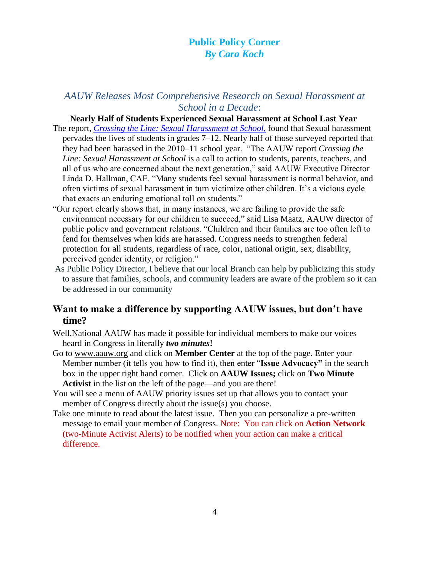### **Public Policy Corner** *By Cara Koch*

### *AAUW Releases Most Comprehensive Research on Sexual Harassment at School in a Decade*:

#### **Nearly Half of Students Experienced Sexual Harassment at School Last Year**

- The report, *[Crossing the Line: Sexual Harassment at School](http://capwiz.com/aauw/utr/1/NJZOQSXTTV/ADYKQSXWRL/7553273066)*, found that Sexual harassment pervades the lives of students in grades 7–12. Nearly half of those surveyed reported that they had been harassed in the 2010–11 school year. "The AAUW report *Crossing the Line: Sexual Harassment at School* is a call to action to students, parents, teachers, and all of us who are concerned about the next generation," said AAUW Executive Director Linda D. Hallman, CAE. "Many students feel sexual harassment is normal behavior, and often victims of sexual harassment in turn victimize other children. It's a vicious cycle that exacts an enduring emotional toll on students."
- "Our report clearly shows that, in many instances, we are failing to provide the safe environment necessary for our children to succeed," said Lisa Maatz, AAUW director of public policy and government relations. "Children and their families are too often left to fend for themselves when kids are harassed. Congress needs to strengthen federal protection for all students, regardless of race, color, national origin, sex, disability, perceived gender identity, or religion."
- As Public Policy Director, I believe that our local Branch can help by publicizing this study to assure that families, schools, and community leaders are aware of the problem so it can be addressed in our community

### **Want to make a difference by supporting AAUW issues, but don't have time?**

- Well,National AAUW has made it possible for individual members to make our voices heard in Congress in literally *two minutes***!**
- Go to [www.aauw.org](http://www.aauw.org/) and click on **Member Center** at the top of the page. Enter your Member number (it tells you how to find it), then enter "**Issue Advocacy"** in the search box in the upper right hand corner. Click on **AAUW Issues;** click on **Two Minute**  Activist in the list on the left of the page—and you are there!
- You will see a menu of AAUW priority issues set up that allows you to contact your member of Congress directly about the issue(s) you choose.
- Take one minute to read about the latest issue. Then you can personalize a pre-written message to email your member of Congress. Note: You can click on **Action Network**  (two-Minute Activist Alerts) to be notified when your action can make a critical difference.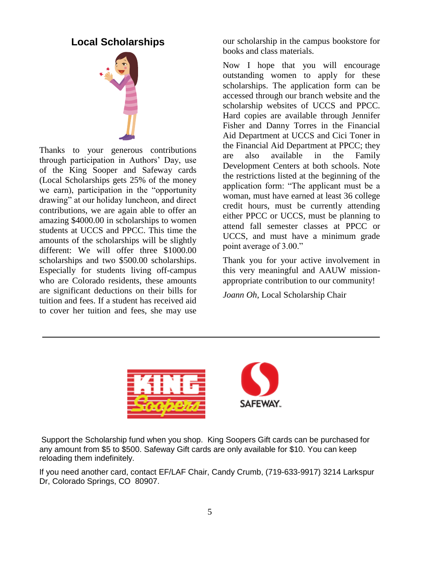### **Local Scholarships**



Thanks to your generous contributions through participation in Authors' Day, use of the King Sooper and Safeway cards (Local Scholarships gets 25% of the money we earn), participation in the "opportunity drawing" at our holiday luncheon, and direct contributions, we are again able to offer an amazing \$4000.00 in scholarships to women students at UCCS and PPCC. This time the amounts of the scholarships will be slightly different: We will offer three \$1000.00 scholarships and two \$500.00 scholarships. Especially for students living off-campus who are Colorado residents, these amounts are significant deductions on their bills for tuition and fees. If a student has received aid to cover her tuition and fees, she may use

our scholarship in the campus bookstore for books and class materials.

Now I hope that you will encourage outstanding women to apply for these scholarships. The application form can be accessed through our branch website and the scholarship websites of UCCS and PPCC. Hard copies are available through Jennifer Fisher and Danny Torres in the Financial Aid Department at UCCS and Cici Toner in the Financial Aid Department at PPCC; they are also available in the Family Development Centers at both schools. Note the restrictions listed at the beginning of the application form: "The applicant must be a woman, must have earned at least 36 college credit hours, must be currently attending either PPCC or UCCS, must be planning to attend fall semester classes at PPCC or UCCS, and must have a minimum grade point average of 3.00."

Thank you for your active involvement in this very meaningful and AAUW missionappropriate contribution to our community!

*Joann Oh*, Local Scholarship Chair



Support the Scholarship fund when you shop. King Soopers Gift cards can be purchased for any amount from \$5 to \$500. Safeway Gift cards are only available for \$10. You can keep reloading them indefinitely.

If you need another card, contact EF/LAF Chair, Candy Crumb, (719-633-9917) 3214 Larkspur Dr, Colorado Springs, CO 80907.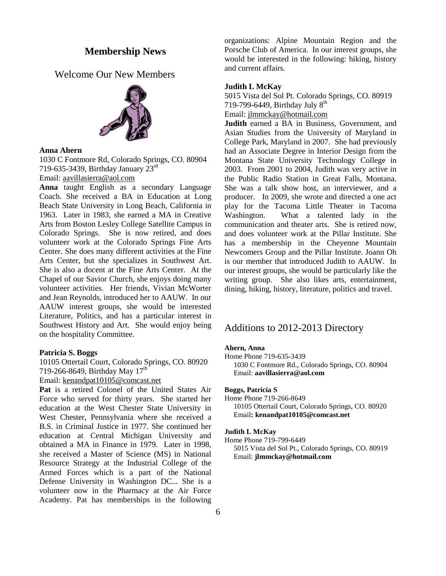#### **Membership News**

Welcome Our New Members



#### **Anna Ahern**

1030 C Fontmore Rd, Colorado Springs, CO. 80904 719-635-3439, Birthday January 23rd

Email: [aavillasierra@aol.com](mailto:aavillasierra@aol.com)

**Anna** taught English as a secondary Language Coach. She received a BA in Education at Long Beach State University in Long Beach, California in 1963. Later in 1983, she earned a MA in Creative Arts from Boston Lesley College Satellite Campus in Colorado Springs. She is now retired, and does volunteer work at the Colorado Springs Fine Arts Center. She does many different activities at the Fine Arts Center, but she specializes in Southwest Art. She is also a docent at the Fine Arts Center. At the Chapel of our Savior Church, she enjoys doing many volunteer activities. Her friends, Vivian McWorter and Jean Reynolds, introduced her to AAUW. In our AAUW interest groups, she would be interested Literature, Politics, and has a particular interest in Southwest History and Art. She would enjoy being on the hospitality Committee.

#### **Patricia S. Boggs**

10105 Ottertail Court, Colorado Springs, CO. 80920 719-266-8649, Birthday May  $17^{\text{th}}$ 

Email: [kenandpat10105@comcast.net](mailto:kenandpat10105@comcast.net) 

**Pat** is a retired Colonel of the United States Air Force who served for thirty years. She started her education at the West Chester State University in West Chester, Pennsylvania where she received a B.S. in Criminal Justice in 1977. She continued her education at Central Michigan University and obtained a MA in Finance in 1979. Later in 1998, she received a Master of Science (MS) in National Resource Strategy at the Industrial College of the Armed Forces which is a part of the National Defense University in Washington DC... She is a volunteer now in the Pharmacy at the Air Force Academy. Pat has memberships in the following organizations: Alpine Mountain Region and the Porsche Club of America. In our interest groups, she would be interested in the following: hiking, history and current affairs.

#### **Judith L McKay**

5015 Vista del Sol Pt. Colorado Springs, CO. 80919 719-799-6449, Birthday July  $8<sup>th</sup>$ Email: [jlmmckay@hotmail.com](mailto:jlmmckay@hotmail.com) 

**Judith** earned a BA in Business, Government, and Asian Studies from the University of Maryland in College Park, Maryland in 2007. She had previously had an Associate Degree in Interior Design from the Montana State University Technology College in 2003. From 2001 to 2004, Judith was very active in the Public Radio Station in Great Falls, Montana. She was a talk show host, an interviewer, and a producer. In 2009, she wrote and directed a one act play for the Tacoma Little Theater in Tacoma Washington. What a talented lady in the communication and theater arts. She is retired now, and does volunteer work at the Pillar Institute. She has a membership in the Cheyenne Mountain Newcomers Group and the Pillar Institute. Joann Oh is our member that introduced Judith to AAUW. In our interest groups, she would be particularly like the writing group. She also likes arts, entertainment, dining, hiking, history, literature, politics and travel.

#### Additions to 2012-2013 Directory

#### **Ahern, Anna**

Home Phone 719-635-3439

 1030 C Fontmore Rd., Colorado Springs, CO. 80904 Email: **[aavillasierra@aol.com](mailto:aavillasierra@aol.com)**

#### **Boggs, Patricia S**

Home Phone 719-266-8649 10105 Ottertail Court, Colorado Springs, CO. 80920 Email**: [kenandpat10105@comcast.net](mailto:kenandpat10105@comcast.net)**

#### **Judith L McKay**

Home Phone 719-799-6449 5015 Vista del Sol Pt., Colorado Springs, CO. 80919 Email: **[jlmmckay@hotmail.com](mailto:jlmmckay@hotmail.com)**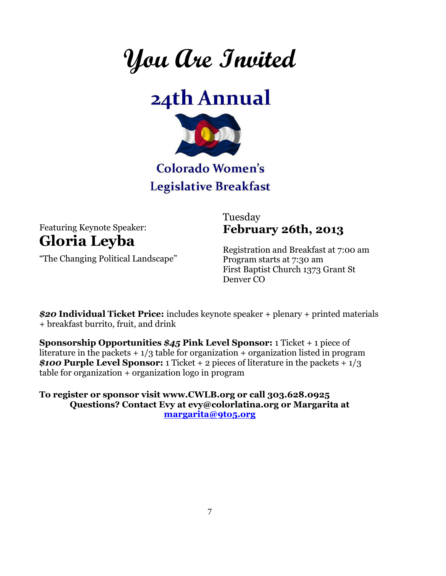**You Are Invited**





## Colorado Women's **Legislative Breakfast**

Featuring Keynote Speaker: **Gloria Leyba** 

"The Changing Political Landscape"

Tuesday **February 26th, 2013** 

Registration and Breakfast at 7:00 am Program starts at 7:30 am First Baptist Church 1373 Grant St Denver CO

*\$20* **Individual Ticket Price:** includes keynote speaker + plenary + printed materials + breakfast burrito, fruit, and drink

**Sponsorship Opportunities** *\$45* **Pink Level Sponsor:** 1 Ticket + 1 piece of literature in the packets  $+1/3$  table for organization + organization listed in program *\$100* **Purple Level Sponsor:** 1 Ticket + 2 pieces of literature in the packets + 1/3 table for organization + organization logo in program

**To register or sponsor visit www.CWLB.org or call 303.628.0925 Questions? Contact Evy at evy@colorlatina.org or Margarita at [margarita@9to5.org](mailto:margarita@9to5.org)**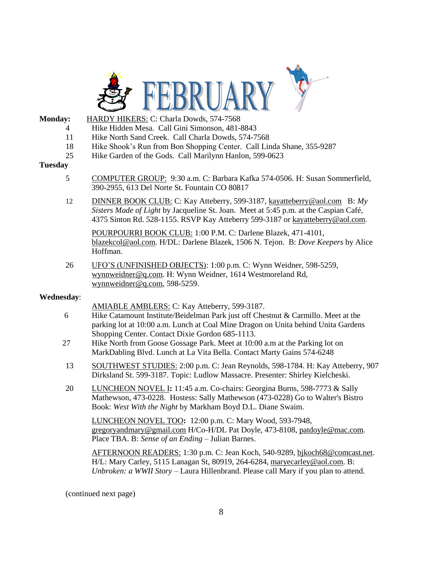

- **Monday:** HARDY HIKERS: C: Charla Dowds, 574-7568 4 Hike Hidden Mesa. Call Gini Simonson, 481-8843
	- 11 Hike North Sand Creek. Call Charla Dowds, 574-7568
		-
	- 18 Hike Shook's Run from Bon Shopping Center. Call Linda Shane, 355-9287
	- 25 Hike Garden of the Gods. Call Marilynn Hanlon, 599-0623

#### **Tuesday**

- 5 COMPUTER GROUP: 9:30 a.m. C: Barbara Kafka 574-0506. H: Susan Sommerfield, 390-2955, 613 Del Norte St. Fountain CO 80817
- 12 DINNER BOOK CLUB: C: Kay Atteberry, 599-3187, kayatteberry@aol.com B: *My Sisters Made of Light* by Jacqueline St. Joan. Meet at 5:45 p.m. at the Caspian Café, 4375 Sinton Rd. 528-1155. RSVP Kay Atteberry 599-3187 or [kayatteberry@aol.com](mailto:kayatteberry@aol.com).

POURPOURRI BOOK CLUB: 1:00 P.M. C: Darlene Blazek, 471-4101, [blazekcol@aol.com.](mailto:blazekcol@aol.com) H/DL: Darlene Blazek, 1506 N. Tejon. B: *Dove Keepers* by Alice Hoffman.

26 UFO'S (UNFINISHED OBJECTS): 1:00 p.m. C: Wynn Weidner, 598-5259, [wynnweidner@q.com.](mailto:wynnweidner@q.com) H: Wynn Weidner, 1614 Westmoreland Rd, [wynnweidner@q.com,](mailto:wynnweidner@q.com) 598-5259.

#### **Wednesday**:

- AMIABLE AMBLERS: C: Kay Atteberry, 599-3187.
- 6 Hike Catamount Institute/Beidelman Park just off Chestnut & Carmillo. Meet at the parking lot at 10:00 a.m. Lunch at Coal Mine Dragon on Unita behind Unita Gardens Shopping Center. Contact Dixie Gordon 685-1113.
- 27 Hike North from Goose Gossage Park. Meet at 10:00 a.m at the Parking lot on MarkDabling Blvd. Lunch at La Vita Bella. Contact Marty Gains 574-6248
- 13 SOUTHWEST STUDIES: 2:00 p.m. C: Jean Reynolds, 598-1784. H: Kay Atteberry, 907 Dirksland St. 599-3187. Topic: Ludlow Massacre. Presenter: Shirley Kielcheski.
- 20 LUNCHEON NOVEL I**:** 11:45 a.m. Co-chairs: Georgina Burns, 598-7773 & Sally Mathewson, 473-0228. Hostess: Sally Mathewson (473-0228) Go to Walter's Bistro Book: *West With the Night* by Markham Boyd D.L. Diane Swaim.

LUNCHEON NOVEL TOO**:** 12:00 p.m. C: Mary Wood, 593-7948, [gregoryandmary@gmail.com](mailto:gregoryandmary@gmail.com) H/Co-H/DL Pat Doyle, 473-8108, patdoyle@mac.com. Place TBA. B: *Sense of an Ending* – Julian Barnes.

AFTERNOON READERS: 1:30 p.m. C: Jean Koch, 540-9289, [bjkoch68@comcast.net.](mailto:bjkoch68@comcast.net) H/L: Mary Carley, 5115 Lanagan St, 80919, 264-6284[, maryecarley@aol.com.](mailto:maryecarley@aol.com) B: *Unbroken: a WWII Story* – Laura Hillenbrand. Please call Mary if you plan to attend.

(continued next page)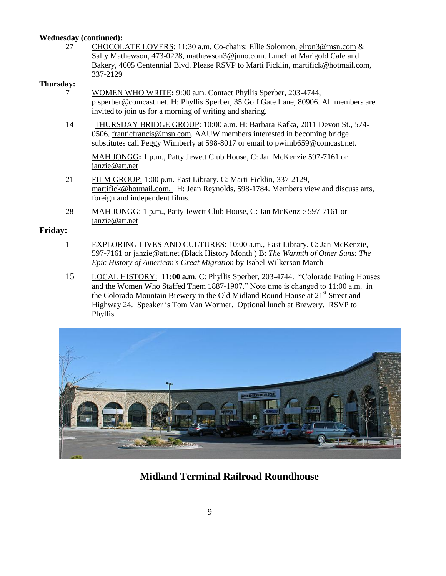#### **Wednesday (continued):**

27 CHOCOLATE LOVERS: 11:30 a.m. Co-chairs: Ellie Solomon, [elron3@msn.com](mailto:elron3@msn.com) & Sally Mathewson, 473-0228, [mathewson3@juno.com.](mailto:mathewson3@juno.com) Lunch at Marigold Cafe and Bakery, 4605 Centennial Blvd. Please RSVP to Marti Ficklin, [martifick@hotmail.com,](mailto:martifick@hotmail.com) 337-2129

#### **Thursday:**

- 7 WOMEN WHO WRITE**:** 9:00 a.m. Contact Phyllis Sperber, 203-4744, [p.sperber@comcast.net.](mailto:p.sperber@comcast.net) H: Phyllis Sperber, 35 Golf Gate Lane, 80906. All members are invited to join us for a morning of writing and sharing.
- 14 THURSDAY BRIDGE GROUP: 10:00 a.m. H: Barbara Kafka, 2011 Devon St., 574- 0506, franticfrancis@msn.com. AAUW members interested in becoming bridge substitutes call Peggy Wimberly at 598-8017 or email to [pwimb659@comcast.net.](mailto:pwimb659@comcast.net)

MAH JONGG**:** 1 p.m., Patty Jewett Club House, C: Jan McKenzie 597-7161 or [janzie@att.net](mailto:janzie@att.net)

- 21 FILM GROUP: 1:00 p.m. East Library. C: Marti Ficklin, 337-2129, [martifick@hotmail.com.](mailto:martifick@hotmail.com) H: Jean Reynolds, 598-1784. Members view and discuss arts, foreign and independent films.
- 28 MAH JONGG: 1 p.m., Patty Jewett Club House, C: Jan McKenzie 597-7161 or [janzie@att.net](mailto:janzie@att.net)

#### **Friday:**

- 1 EXPLORING LIVES AND CULTURES: 10:00 a.m., East Library. C: Jan McKenzie, 597-7161 or [janzie@att.net](mailto:janzie@att.net) (Black History Month ) B: *The Warmth of Other Suns: The Epic History of American's Great Migration* by Isabel Wilkerson March
- 15 LOCAL HISTORY: **11:00 a.m**. C: Phyllis Sperber, 203-4744. "Colorado Eating Houses and the Women Who Staffed Them 1887-1907." Note time is changed to 11:00 a.m. in the Colorado Mountain Brewery in the Old Midland Round House at 21<sup>st</sup> Street and Highway 24. Speaker is Tom Van Wormer. Optional lunch at Brewery. RSVP to Phyllis.



### **Midland Terminal Railroad Roundhouse**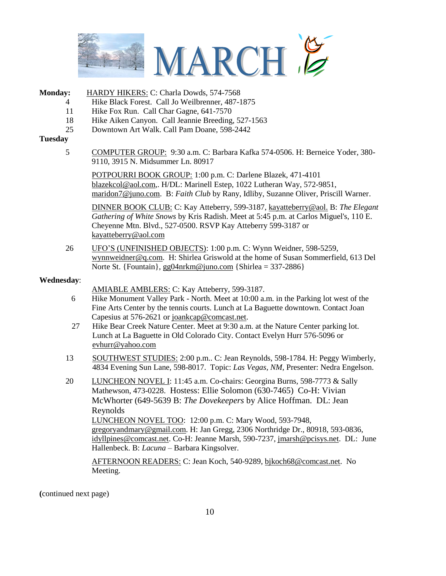

#### **Monday:** HARDY HIKERS: C: Charla Dowds, 574-7568

- 4 Hike Black Forest. Call Jo Weilbrenner, 487-1875
- 11 Hike Fox Run. Call Char Gagne, 641-7570
- 18 Hike Aiken Canyon. Call Jeannie Breeding, 527-1563
- 25 Downtown Art Walk. Call Pam Doane, 598-2442

#### **Tuesday**

5 COMPUTER GROUP: 9:30 a.m. C: Barbara Kafka 574-0506. H: Berneice Yoder, 380- 9110, 3915 N. Midsummer Ln. 80917

POTPOURRI BOOK GROUP: 1:00 p.m. C: Darlene Blazek, 471-4101 [blazekcol@aol.com,](mailto:blazekcol@aol.com). H/DL: Marinell Estep, 1022 Lutheran Way, 572-9851, [maridon7@juno.com.](mailto:maridon7@juno.com) B: *Faith Club* by Rany, Idliby, Suzanne Oliver, Priscill Warner.

DINNER BOOK CLUB: C: Kay Atteberry, 599-3187, kayatteberry@aol. B: *The Elegant Gathering of White Snows* by Kris Radish. Meet at 5:45 p.m. at Carlos Miguel's, 110 E. Cheyenne Mtn. Blvd., 527-0500. RSVP Kay Atteberry 599-3187 or [kayatteberry@aol.com](mailto:kayatteberry@aol.com)

26 UFO'S (UNFINISHED OBJECTS): 1:00 p.m. C: Wynn Weidner, 598-5259, [wynnweidner@q.com.](mailto:wynnweidner@q.com) H: Shirlea Griswold at the home of Susan Sommerfield, 613 Del Norte St. {Fountain}[, gg04nrkm@juno.com](mailto:gg04nrkm@juno.com) {Shirlea = 337-2886}

#### **Wednesday**:

AMIABLE AMBLERS: C: Kay Atteberry, 599-3187.

- 6 Hike Monument Valley Park North. Meet at 10:00 a.m. in the Parking lot west of the Fine Arts Center by the tennis courts. Lunch at La Baguette downtown. Contact Joan Capesius at 576-2621 or [joankcap@comcast.net.](mailto:joankcap@comcast.net)
- 27 Hike Bear Creek Nature Center. Meet at 9:30 a.m. at the Nature Center parking lot. Lunch at La Baguette in Old Colorado City. Contact Evelyn Hurr 576-5096 or [evhurr@yahoo.com](mailto:evhurr@yahoo.com)
- 13 SOUTHWEST STUDIES: 2:00 p.m.. C: Jean Reynolds, 598-1784. H: Peggy Wimberly, 4834 Evening Sun Lane, 598-8017. Topic: *Las Vegas, NM,* Presenter: Nedra Engelson.
- 20 LUNCHEON NOVEL I: 11:45 a.m. Co-chairs: Georgina Burns, 598-7773 & Sally Mathewson, 473-0228. Hostess: Ellie Solomon (630-7465) Co-H: Vivian McWhorter (649-5639 B: *The Dovekeepers* by Alice Hoffman. DL: Jean Reynolds LUNCHEON NOVEL TOO: 12:00 p.m. C: Mary Wood, 593-7948, [gregoryandmary@gmail.com.](mailto:gregoryandmary@gmail.com) H: Jan Gregg, 2306 Northridge Dr., 80918, 593-0836, [idyllpines@comcast.net.](mailto:idyllpines@comcast.net) Co-H: Jeanne Marsh, 590-7237, jmarsh@pcisys.net. DL: June Hallenbeck. B: *Lacuna* – Barbara Kingsolver.

AFTERNOON READERS: C: Jean Koch, 540-9289[, bjkoch68@comcast.net.](mailto:bjkoch68@comcast.net) No Meeting.

**(**continued next page)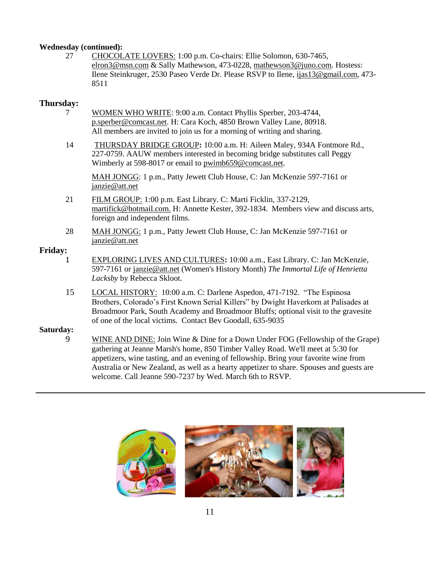#### **Wednesday (continued):**

27 CHOCOLATE LOVERS: 1:00 p.m. Co-chairs: Ellie Solomon, 630-7465, [elron3@msn.com](mailto:elron3@msn.com) & Sally Mathewson, 473-0228, [mathewson3@juno.com.](mailto:mathewson3@juno.com) Hostess: Ilene Steinkruger, 2530 Paseo Verde Dr. Please RSVP to Ilene, [ijas13@gmail.com,](mailto:ijas13@gmail.com) 473- 8511

### **Thursday:**

- 7 WOMEN WHO WRITE: 9:00 a.m. Contact Phyllis Sperber, 203-4744, [p.sperber@comcast.net.](mailto:p.sperber@comcast.net) H: Cara Koch, 4850 Brown Valley Lane, 80918. All members are invited to join us for a morning of writing and sharing.
- 14 THURSDAY BRIDGE GROUP**:** 10:00 a.m. H: Aileen Maley, 934A Fontmore Rd., 227-0759. AAUW members interested in becoming bridge substitutes call Peggy Wimberly at 598-8017 or email to [pwimb659@comcast.net.](mailto:pwimb659@comcast.net)

MAH JONGG: 1 p.m., Patty Jewett Club House, C: Jan McKenzie 597-7161 or [janzie@att.net](mailto:janzie@att.net)

- 21 FILM GROUP: 1:00 p.m. East Library. C: Marti Ficklin, 337-2129, martifick@hotmail.com. H: Annette Kester, 392-1834. Members view and discuss arts, foreign and independent films.
- 28 MAH JONGG: 1 p.m., Patty Jewett Club House, C: Jan McKenzie 597-7161 or [janzie@att.net](mailto:janzie@att.net)

#### **Friday:**

- 1 EXPLORING LIVES AND CULTURES**:** 10:00 a.m., East Library. C: Jan McKenzie, 597-7161 or [janzie@att.net](mailto:janzie@att.net) (Women's History Month) *The Immortal Life of Henrietta Lacksby* by Rebecca Skloot.
- 15 LOCAL HISTORY: 10:00 a.m. C: Darlene Aspedon, 471-7192. "The Espinosa Brothers, Colorado's First Known Serial Killers" by Dwight Haverkorn at Palisades at Broadmoor Park, South Academy and Broadmoor Bluffs; optional visit to the gravesite of one of the local victims. Contact Bev Goodall, 635-9035

#### **Saturday:**

9 WINE AND DINE: Join Wine & Dine for a Down Under FOG (Fellowship of the Grape) gathering at Jeanne Marsh's home, 850 Timber Valley Road. We'll meet at 5:30 for appetizers, wine tasting, and an evening of fellowship. Bring your favorite wine from Australia or New Zealand, as well as a hearty appetizer to share. Spouses and guests are welcome. Call Jeanne 590-7237 by Wed. March 6th to RSVP.